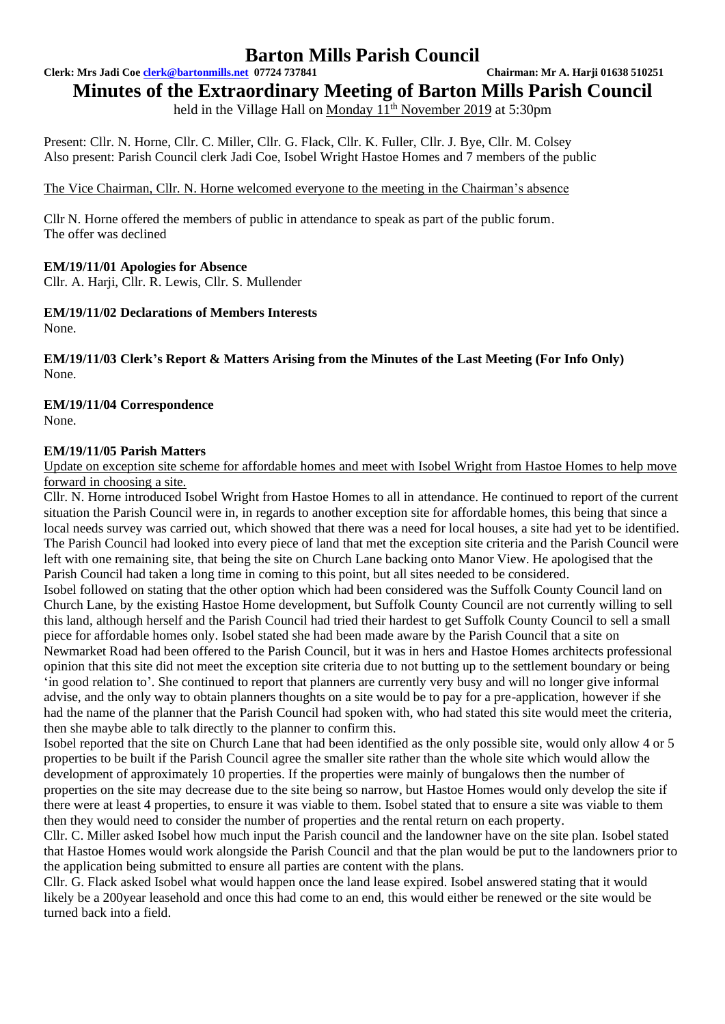# **Barton Mills Parish Council**

**Clerk: Mrs Jadi Coe [clerk@bartonmills.net](mailto:clerk@bartonmills.net) 07724 737841 Chairman: Mr A. Harji 01638 510251**

**Minutes of the Extraordinary Meeting of Barton Mills Parish Council**

held in the Village Hall on Monday  $11^{th}$  November 2019 at 5:30pm

Present: Cllr. N. Horne, Cllr. C. Miller, Cllr. G. Flack, Cllr. K. Fuller, Cllr. J. Bye, Cllr. M. Colsey Also present: Parish Council clerk Jadi Coe, Isobel Wright Hastoe Homes and 7 members of the public

The Vice Chairman, Cllr. N. Horne welcomed everyone to the meeting in the Chairman's absence

Cllr N. Horne offered the members of public in attendance to speak as part of the public forum. The offer was declined

# **EM/19/11/01 Apologies for Absence**

Cllr. A. Harji, Cllr. R. Lewis, Cllr. S. Mullender

**EM/19/11/02 Declarations of Members Interests** None.

**EM/19/11/03 Clerk's Report & Matters Arising from the Minutes of the Last Meeting (For Info Only)** None.

# **EM/19/11/04 Correspondence**

None.

# **EM/19/11/05 Parish Matters**

Update on exception site scheme for affordable homes and meet with Isobel Wright from Hastoe Homes to help move forward in choosing a site.

Cllr. N. Horne introduced Isobel Wright from Hastoe Homes to all in attendance. He continued to report of the current situation the Parish Council were in, in regards to another exception site for affordable homes, this being that since a local needs survey was carried out, which showed that there was a need for local houses, a site had yet to be identified. The Parish Council had looked into every piece of land that met the exception site criteria and the Parish Council were left with one remaining site, that being the site on Church Lane backing onto Manor View. He apologised that the Parish Council had taken a long time in coming to this point, but all sites needed to be considered.

Isobel followed on stating that the other option which had been considered was the Suffolk County Council land on Church Lane, by the existing Hastoe Home development, but Suffolk County Council are not currently willing to sell this land, although herself and the Parish Council had tried their hardest to get Suffolk County Council to sell a small piece for affordable homes only. Isobel stated she had been made aware by the Parish Council that a site on Newmarket Road had been offered to the Parish Council, but it was in hers and Hastoe Homes architects professional opinion that this site did not meet the exception site criteria due to not butting up to the settlement boundary or being 'in good relation to'. She continued to report that planners are currently very busy and will no longer give informal advise, and the only way to obtain planners thoughts on a site would be to pay for a pre-application, however if she

had the name of the planner that the Parish Council had spoken with, who had stated this site would meet the criteria, then she maybe able to talk directly to the planner to confirm this.

Isobel reported that the site on Church Lane that had been identified as the only possible site, would only allow 4 or 5 properties to be built if the Parish Council agree the smaller site rather than the whole site which would allow the development of approximately 10 properties. If the properties were mainly of bungalows then the number of properties on the site may decrease due to the site being so narrow, but Hastoe Homes would only develop the site if there were at least 4 properties, to ensure it was viable to them. Isobel stated that to ensure a site was viable to them then they would need to consider the number of properties and the rental return on each property.

Cllr. C. Miller asked Isobel how much input the Parish council and the landowner have on the site plan. Isobel stated that Hastoe Homes would work alongside the Parish Council and that the plan would be put to the landowners prior to the application being submitted to ensure all parties are content with the plans.

Cllr. G. Flack asked Isobel what would happen once the land lease expired. Isobel answered stating that it would likely be a 200year leasehold and once this had come to an end, this would either be renewed or the site would be turned back into a field.